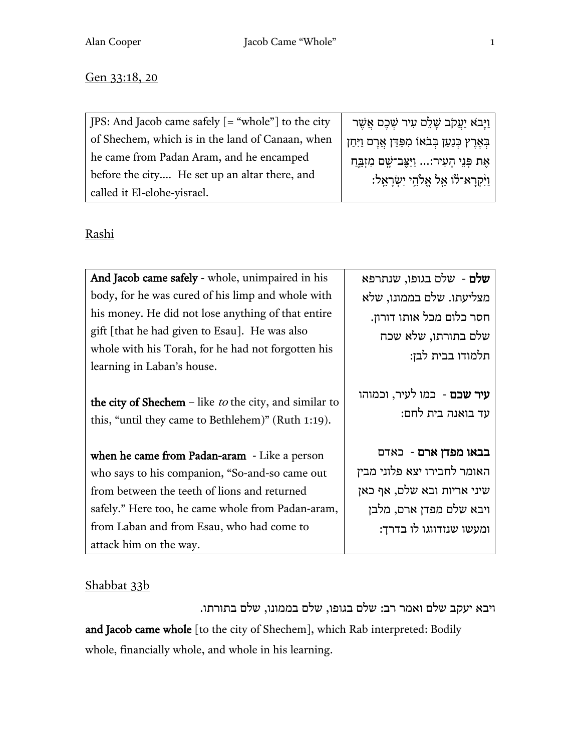#### Gen 33:18, 20

| $ $ JPS: And Jacob came safely $[$ = "whole" to the city | ִ <mark>ּ וַיַּבֹא יַעֲקֹב שָׁלֵם עִיר שְׁכֶם אֲשֶ</mark> ר |
|----------------------------------------------------------|-------------------------------------------------------------|
| of Shechem, which is in the land of Canaan, when         | בְּאֶרֶץ כְּנַעַן בְּבֹאוֹ מִפַּדַּן אֲרָם וַיִּחַן         |
| he came from Padan Aram, and he encamped                 | אֵת פִּנֵי הָעִיר: וַיַּצֵּב־שָׁם מִזְבֵּחַ                 |
| before the city He set up an altar there, and            | ּוַיִּקְרָא־לֹוֹ אֵל אֵלֹהֵי יִשְׂרָאֵל:                    |
| called it El-elohe-yisrael.                              |                                                             |

## Rashi

| And Jacob came safely - whole, unimpaired in his                                                                                                                                                                                                                           | שלם - שלם בגופו, שנתרפא                                                                                                                 |
|----------------------------------------------------------------------------------------------------------------------------------------------------------------------------------------------------------------------------------------------------------------------------|-----------------------------------------------------------------------------------------------------------------------------------------|
| body, for he was cured of his limp and whole with                                                                                                                                                                                                                          | מצליעתו. שלם בממונו, שלא                                                                                                                |
| his money. He did not lose anything of that entire                                                                                                                                                                                                                         | חסר כלום מכל אותו דורון.                                                                                                                |
| gift [that he had given to Esau]. He was also                                                                                                                                                                                                                              | שלם בתורתו, שלא שכח                                                                                                                     |
| whole with his Torah, for he had not forgotten his                                                                                                                                                                                                                         | תלמודו בבית לבן:                                                                                                                        |
| learning in Laban's house.                                                                                                                                                                                                                                                 |                                                                                                                                         |
| the city of Shechem – like <i>to</i> the city, and similar to<br>this, "until they came to Bethlehem)" (Ruth 1:19).                                                                                                                                                        | <b>עיר שכם</b> - כמו לעיר, וכמוהו<br>עד בואנה בית לחם:                                                                                  |
| when he came from Padan-aram - Like a person<br>who says to his companion, "So-and-so came out<br>from between the teeth of lions and returned<br>safely." Here too, he came whole from Padan-aram,<br>from Laban and from Esau, who had come to<br>attack him on the way. | בבאו מפדן ארם - כאדם<br>האומר לחבירו יצא פלוני מבין<br>שיני אריות ובא שלם, אף כאן<br>ויבא שלם מפדן ארם, מלבן<br>ומעשו שנזדווגו לו בדרך: |

### Shabbat 33b

ויבא יעקב שלם ואמר רב: שלם בגופו, שלם בממונו, שלם בתורתו. and Jacob came whole [to the city of Shechem], which Rab interpreted: Bodily whole, financially whole, and whole in his learning.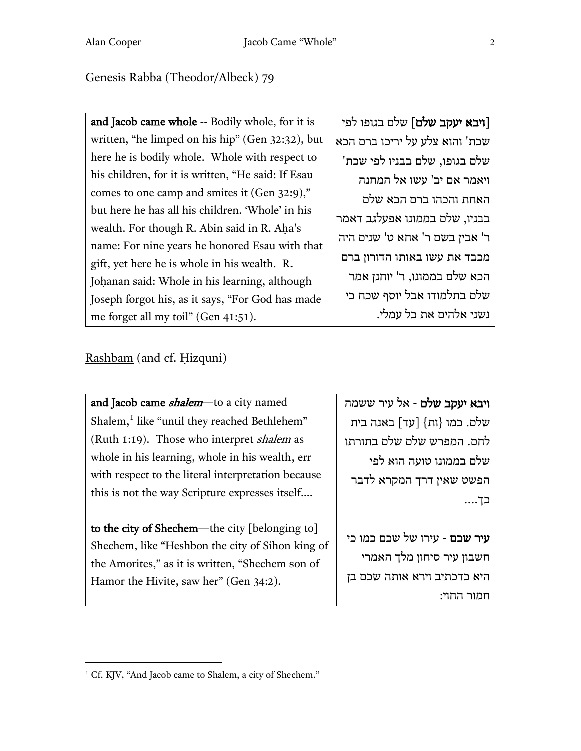# Genesis Rabba (Theodor/Albeck) 79

| and Jacob came whole -- Bodily whole, for it is    | [ <b>ויבא יעקב שלם</b> ] שלם בגופו לפי |
|----------------------------------------------------|----------------------------------------|
| written, "he limped on his hip" (Gen 32:32), but   | שכת' והוא צלע על יריכו ברם הכא         |
| here he is bodily whole. Whole with respect to     | שלם בגופו, שלם בבניו לפי שכת'          |
| his children, for it is written, "He said: If Esau | ויאמר אם יב' עשו אל המחנה              |
| comes to one camp and smites it (Gen 32:9),"       | האחת והכהו ברם הכא שלם                 |
| but here he has all his children. 'Whole' in his   | בבניו, שלם בממונו אפעלגב דאמר          |
| wealth. For though R. Abin said in R. Aha's        |                                        |
| name: For nine years he honored Esau with that     | ר' אבין בשם ר' אחא ט' שנים היה         |
| gift, yet here he is whole in his wealth. R.       | מכבד את עשו באותו הדורון ברם           |
| Johanan said: Whole in his learning, although      | הכא שלם בממונו, ר' יוחנן אמר           |
| Joseph forgot his, as it says, "For God has made   | שלם בתלמודו אבל יוסף שכח כי            |
| me forget all my toil" (Gen 41:51).                | נשני אלהים את כל עמלי.                 |
|                                                    |                                        |

# Rashbam (and cf. Ḥizquni)

| and Jacob came <i>shalem</i> -to a city named                                                                                                                                                    | <b>ויבא יעקב שלם</b> - אל עיר ששמה                                                              |
|--------------------------------------------------------------------------------------------------------------------------------------------------------------------------------------------------|-------------------------------------------------------------------------------------------------|
| Shalem, <sup>1</sup> like "until they reached Bethlehem"                                                                                                                                         | שלם. כמו {ות} [עד] באנה בית                                                                     |
| (Ruth 1:19). Those who interpret shalem as                                                                                                                                                       | לחם. המפרש שלם שלם בתורתו                                                                       |
| whole in his learning, whole in his wealth, err                                                                                                                                                  | שלם בממונו טועה הוא לפי                                                                         |
| with respect to the literal interpretation because                                                                                                                                               | הפשט שאין דרך המקרא לדבר                                                                        |
| this is not the way Scripture expresses itself                                                                                                                                                   | ⊂ד….                                                                                            |
|                                                                                                                                                                                                  |                                                                                                 |
| to the city of Shechem-the city [belonging to]<br>Shechem, like "Heshbon the city of Sihon king of<br>the Amorites," as it is written, "Shechem son of<br>Hamor the Hivite, saw her" (Gen 34:2). | <b>עיר שכם</b> - עירו של שכם כמו כי<br>חשבון עיר סיחון מלך האמרי<br>היא כדכתיב וירא אותה שכם בן |
|                                                                                                                                                                                                  | חמור החוי:                                                                                      |

<span id="page-1-0"></span> $^{\rm 1}$  Cf. KJV, "And Jacob came to Shalem, a city of Shechem."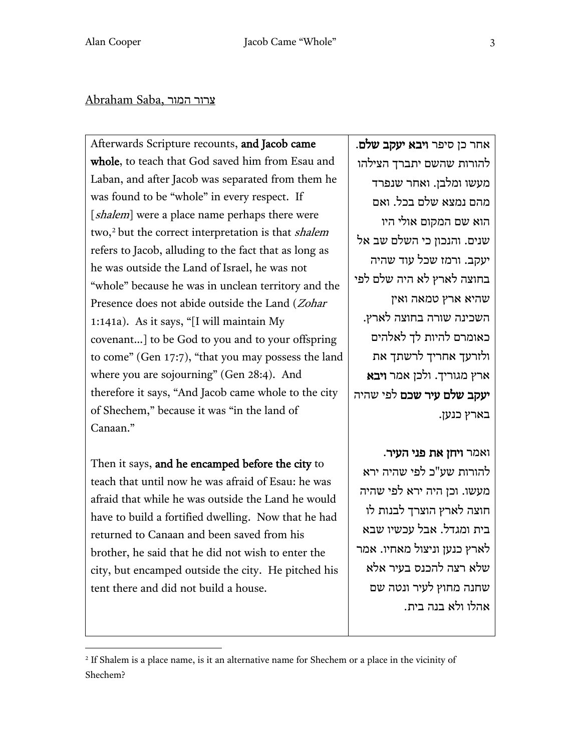#### צרור המור ,Saba Abraham

Afterwards Scripture recounts, and Jacob came whole, to teach that God saved him from Esau and Laban, and after Jacob was separated from them he was found to be "whole" in every respect. If [shalem] were a place name perhaps there were two,<sup>[2](#page-2-0)</sup> but the correct interpretation is that *shalem* refers to Jacob, alluding to the fact that as long as he was outside the Land of Israel, he was not "whole" because he was in unclean territory and the Presence does not abide outside the Land (*Zohar*) 1:141a). As it says, "[I will maintain My covenant…] to be God to you and to your offspring to come" (Gen 17:7), "that you may possess the land where you are sojourning" (Gen 28:4). And therefore it says, "And Jacob came whole to the city of Shechem," because it was "in the land of Canaan."

Then it says, and he encamped before the city to teach that until now he was afraid of Esau: he was afraid that while he was outside the Land he would have to build a fortified dwelling. Now that he had returned to Canaan and been saved from his brother, he said that he did not wish to enter the city, but encamped outside the city. He pitched his tent there and did not build a house.

אחר כן סיפר **ויבא יעקב שלם**. להורות שהשם יתברך הצילהו מעשו ומלבן. ואחר שנפרד מהם נמצא שלם בכל . ואם הוא שם המקום אולי היו שנים. והנכון כי השלם שב אל יעקב . ורמז שכל עוד שהיה בחוצה לארץ לא היה שלם לפי שהיא ארץ טמאה ואין השכינה שורה בחוצה לארץ . כאומרם להיות לך לאלהים ולזרעך אחריך לרשתך את ארץ מגוריך. ולכן אמר ויבא יעקב שלם עיר שכם לפי שהיה בארץ כנען.

ואמר ויחן את פני העיר. להורות שע"כ לפי שהיה ירא מעשו . וכן היה ירא לפי שהיה חוצה לארץ הוצרך לבנות לו בית ומגדל . אבל עכשיו שבא לארץ כנען וניצול מאחיו . אמר שלא רצה להכנס בעיר אלא שחנה מחוץ לעיר ונטה שם אהלו ולא בנה בית.

<span id="page-2-0"></span><sup>2</sup> If Shalem is a place name, is it an alternative name for Shechem or a place in the vicinity of Shechem?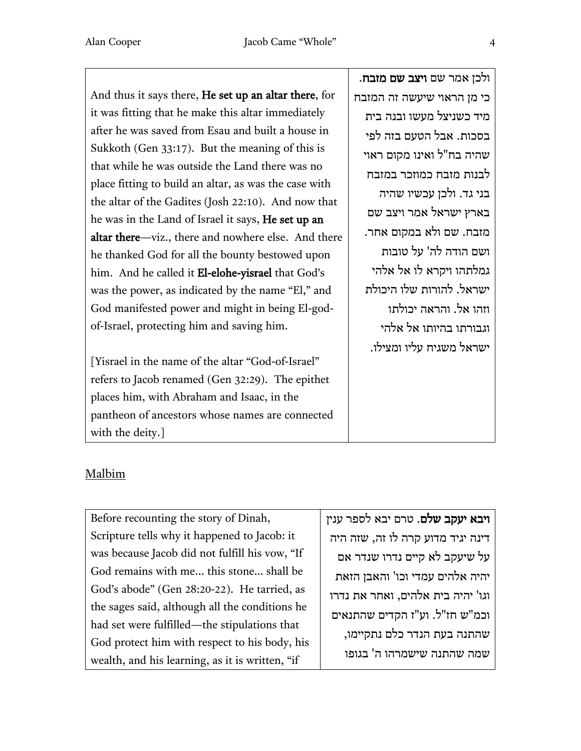And thus it says there, He set up an altar there, for it was fitting that he make this altar immediately after he was saved from Esau and built a house in Sukkoth (Gen 33:17). But the meaning of this is that while he was outside the Land there was no place fitting to build an altar, as was the case with the altar of the Gadites (Josh 22:10). And now that he was in the Land of Israel it says, He set up an altar there—viz., there and nowhere else. And there he thanked God for all the bounty bestowed upon him. And he called it El-elohe-yisrael that God's was the power, as indicated by the name "El," and God manifested power and might in being El-godof-Israel, protecting him and saving him.

[Yisrael in the name of the altar "God-of-Israel" refers to Jacob renamed (Gen 32:29). The epithet places him, with Abraham and Isaac, in the pantheon of ancestors whose names are connected with the deity.]

ולכן אמר שם ויצב שם מזבח. כי מן הראוי שיעשה זה המזבח מיד כשניצל מעשו ובנה בית בסכות. אבל הטעם בזה לפי שהיה בח"ל ואינו מקום ראוי לבנות מזבח כמוזכר במזבח בני גד. ולכן עכשיו שהיה בארץ ישראל אמר ויצב שם מזבח. שם ולא במקום אחר. ושם הודה לה' על טובות גמלתהו ויקרא לו אל אלהי ישראל . להורות שלו היכולת וזהו אל. והראה יכולתו וגבורתו בהיותו אל אלהי ישראל משגיח עליו ומצילו.

## Malbim

Before recounting the story of Dinah, Scripture tells why it happened to Jacob: it was because Jacob did not fulfill his vow, "If God remains with me... this stone… shall be God's abode" (Gen 28:20-22). He tarried, as the sages said, although all the conditions he had set were fulfilled—the stipulations that God protect him with respect to his body, his wealth, and his learning, as it is written, "if

ויבא יעקב שלם. טרם יבא לספר ענין דינה יגיד מדוע קרה לו זה , שזה היה על שיעקב לא קיים נדרו שנדר אם יהיה אלהים עמדי וכו' והאבן הזאת וגו ' יהיה בית אלהים, ואחר את נדרו וכמ "ש חז" ל . וע"ז הקדים שהתנאים שהתנה בעת הנדר כלם נתקיימו , שמה שהתנה שישמרהו ה ' בגופו